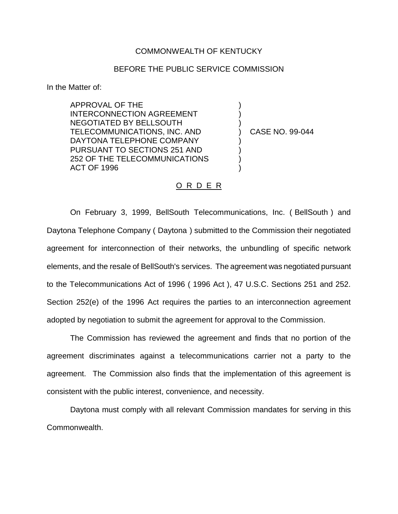## COMMONWEALTH OF KENTUCKY

## BEFORE THE PUBLIC SERVICE COMMISSION

In the Matter of:

APPROVAL OF THE INTERCONNECTION AGREEMENT NEGOTIATED BY BELLSOUTH TELECOMMUNICATIONS, INC. AND DAYTONA TELEPHONE COMPANY PURSUANT TO SECTIONS 251 AND 252 OF THE TELECOMMUNICATIONS ACT OF 1996

) CASE NO. 99-044

) ) )

) ) ) )

## O R D E R

On February 3, 1999, BellSouth Telecommunications, Inc. ( BellSouth ) and Daytona Telephone Company ( Daytona ) submitted to the Commission their negotiated agreement for interconnection of their networks, the unbundling of specific network elements, and the resale of BellSouth's services. The agreement was negotiated pursuant to the Telecommunications Act of 1996 ( 1996 Act ), 47 U.S.C. Sections 251 and 252. Section 252(e) of the 1996 Act requires the parties to an interconnection agreement adopted by negotiation to submit the agreement for approval to the Commission.

The Commission has reviewed the agreement and finds that no portion of the agreement discriminates against a telecommunications carrier not a party to the agreement. The Commission also finds that the implementation of this agreement is consistent with the public interest, convenience, and necessity.

Daytona must comply with all relevant Commission mandates for serving in this Commonwealth.